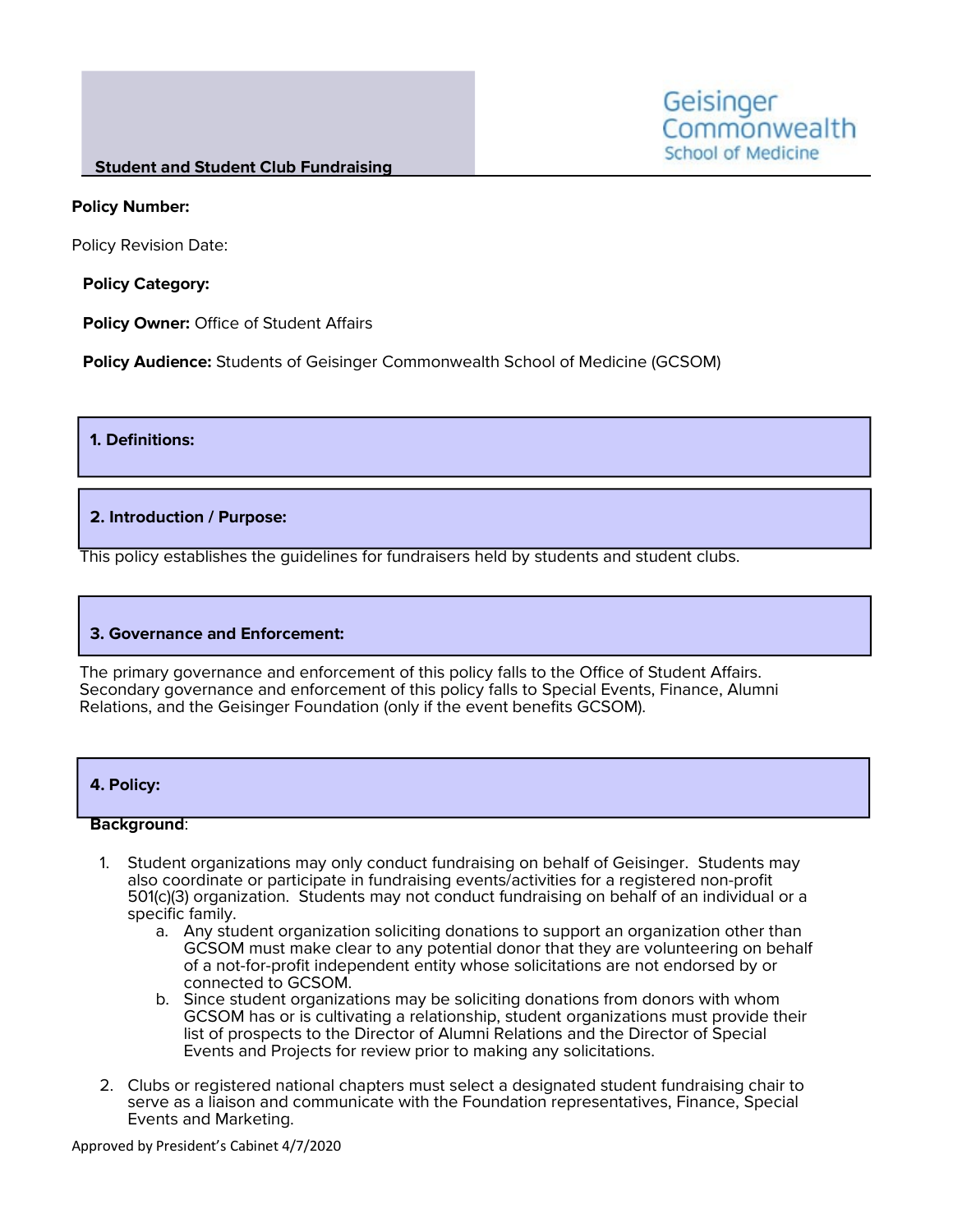#### **Student and Student Club Fundraising**

#### **Policy Number:**

Policy Revision Date:

**Policy Category:**

**Policy Owner:** Office of Student Affairs

**Policy Audience:** Students of Geisinger Commonwealth School of Medicine (GCSOM)

### **1. Definitions:**

### **2. Introduction / Purpose:**

This policy establishes the guidelines for fundraisers held by students and student clubs.

# **3. Governance and Enforcement:**

The primary governance and enforcement of this policy falls to the Office of Student Affairs. Secondary governance and enforcement of this policy falls to Special Events, Finance, Alumni Relations, and the Geisinger Foundation (only if the event benefits GCSOM).

#### **4. Policy:**

#### **Background**:

- 1. Student organizations may only conduct fundraising on behalf of Geisinger. Students may also coordinate or participate in fundraising events/activities for a registered non-profit 501(c)(3) organization. Students may not conduct fundraising on behalf of an individual or a specific family.
	- a. Any student organization soliciting donations to support an organization other than GCSOM must make clear to any potential donor that they are volunteering on behalf of a not-for-profit independent entity whose solicitations are not endorsed by or connected to GCSOM.
	- b. Since student organizations may be soliciting donations from donors with whom GCSOM has or is cultivating a relationship, student organizations must provide their list of prospects to the Director of Alumni Relations and the Director of Special Events and Projects for review prior to making any solicitations.
- 2. Clubs or registered national chapters must select a designated student fundraising chair to serve as a liaison and communicate with the Foundation representatives, Finance, Special Events and Marketing.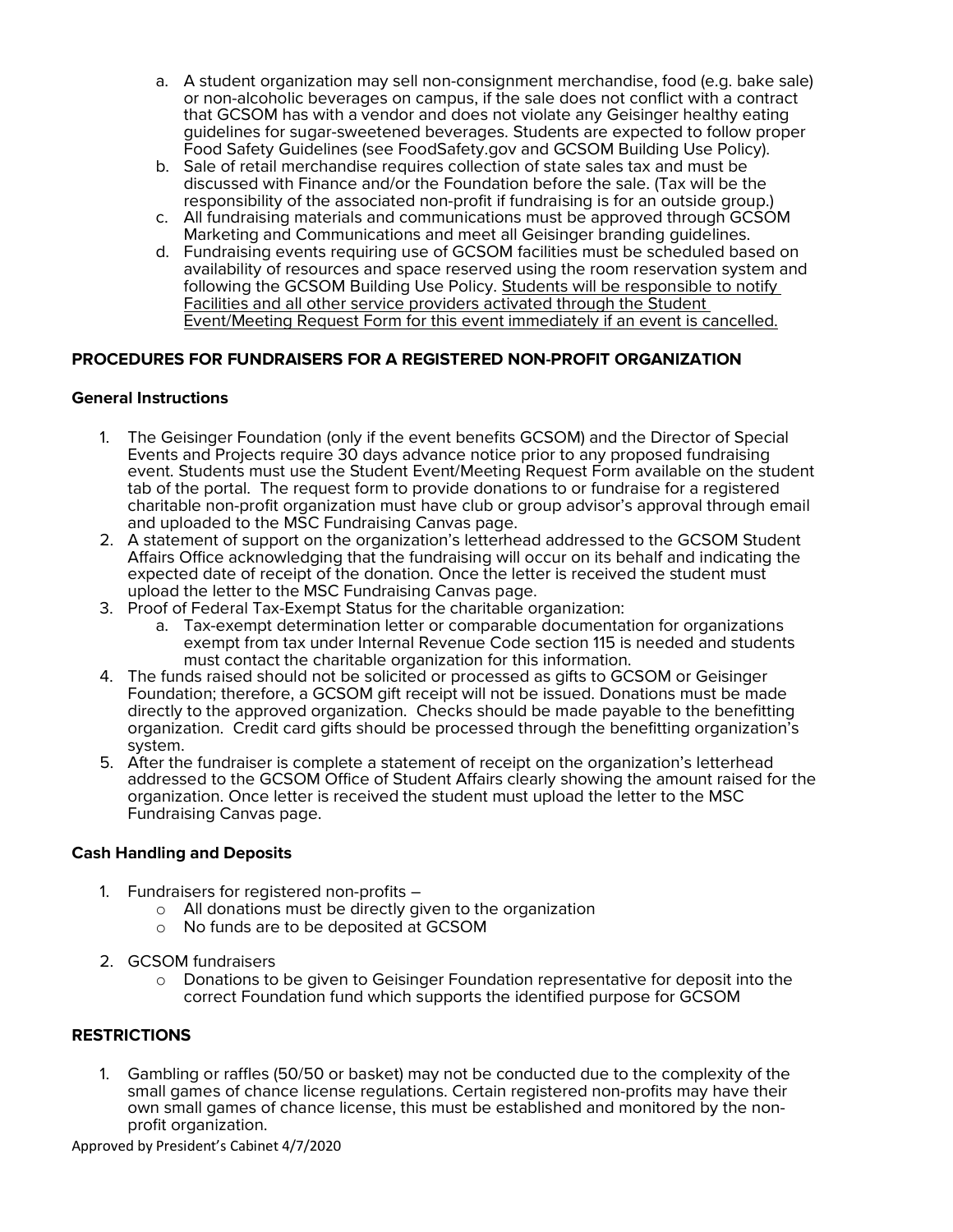- a. A student organization may sell non-consignment merchandise, food (e.g. bake sale) or non-alcoholic beverages on campus, if the sale does not conflict with a contract that GCSOM has with a vendor and does not violate any Geisinger healthy eating guidelines for sugar-sweetened beverages. Students are expected to follow proper Food Safety Guidelines (see FoodSafety.gov and GCSOM Building Use Policy).
- b. Sale of retail merchandise requires collection of state sales tax and must be discussed with Finance and/or the Foundation before the sale. (Tax will be the responsibility of the associated non-profit if fundraising is for an outside group.)
- c. All fundraising materials and communications must be approved through GCSOM Marketing and Communications and meet all Geisinger branding guidelines.
- d. Fundraising events requiring use of GCSOM facilities must be scheduled based on availability of resources and space reserved using the room reservation system and following the GCSOM Building Use Policy. Students will be responsible to notify Facilities and all other service providers activated through the Student Event/Meeting Request Form for this event immediately if an event is cancelled.

# **PROCEDURES FOR FUNDRAISERS FOR A REGISTERED NON-PROFIT ORGANIZATION**

# **General Instructions**

- 1. The Geisinger Foundation (only if the event benefits GCSOM) and the Director of Special Events and Projects require 30 days advance notice prior to any proposed fundraising event. Students must use the Student Event/Meeting Request Form available on the student tab of the portal. The request form to provide donations to or fundraise for a registered charitable non-profit organization must have club or group advisor's approval through email and uploaded to the MSC Fundraising Canvas page.
- 2. A statement of support on the organization's letterhead addressed to the GCSOM Student Affairs Office acknowledging that the fundraising will occur on its behalf and indicating the expected date of receipt of the donation. Once the letter is received the student must upload the letter to the MSC Fundraising Canvas page.
- 3. Proof of Federal Tax-Exempt Status for the charitable organization:
	- a. Tax-exempt determination letter or comparable documentation for organizations exempt from tax under Internal Revenue Code section 115 is needed and students must contact the charitable organization for this information.
- 4. The funds raised should not be solicited or processed as gifts to GCSOM or Geisinger Foundation; therefore, a GCSOM gift receipt will not be issued. Donations must be made directly to the approved organization. Checks should be made payable to the benefitting organization. Credit card gifts should be processed through the benefitting organization's system.
- 5. After the fundraiser is complete a statement of receipt on the organization's letterhead addressed to the GCSOM Office of Student Affairs clearly showing the amount raised for the organization. Once letter is received the student must upload the letter to the MSC Fundraising Canvas page.

# **Cash Handling and Deposits**

- 1. Fundraisers for registered non-profits
	- o All donations must be directly given to the organization
	- o No funds are to be deposited at GCSOM
- 2. GCSOM fundraisers
	- o Donations to be given to Geisinger Foundation representative for deposit into the correct Foundation fund which supports the identified purpose for GCSOM

# **RESTRICTIONS**

1. Gambling or raffles (50/50 or basket) may not be conducted due to the complexity of the small games of chance license regulations. Certain registered non-profits may have their own small games of chance license, this must be established and monitored by the non- profit organization.